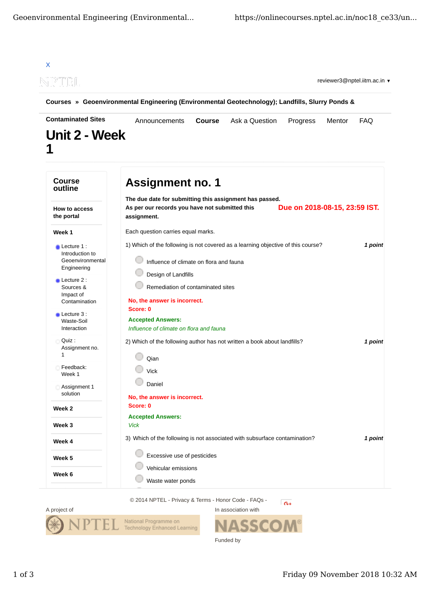

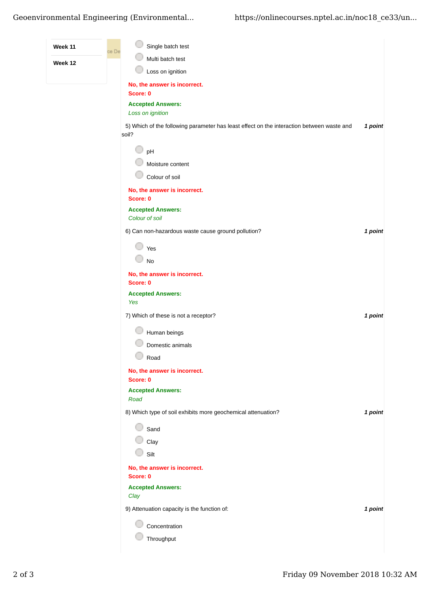## Geoenvironmental Engineering (Environmental... https://onlinecourses.nptel.ac.in/noc18\_ce33/un...

| Week 11 | ce De | Single batch test                                                                                  |         |
|---------|-------|----------------------------------------------------------------------------------------------------|---------|
| Week 12 |       | Multi batch test                                                                                   |         |
|         |       | Loss on ignition                                                                                   |         |
|         |       | No, the answer is incorrect.                                                                       |         |
|         |       | Score: 0                                                                                           |         |
|         |       | <b>Accepted Answers:</b>                                                                           |         |
|         |       | Loss on ignition                                                                                   |         |
|         |       | 5) Which of the following parameter has least effect on the interaction between waste and<br>soil? | 1 point |
|         |       | pH                                                                                                 |         |
|         |       | Moisture content                                                                                   |         |
|         |       | Colour of soil                                                                                     |         |
|         |       | No, the answer is incorrect.                                                                       |         |
|         |       | Score: 0                                                                                           |         |
|         |       | <b>Accepted Answers:</b><br>Colour of soil                                                         |         |
|         |       | 6) Can non-hazardous waste cause ground pollution?                                                 | 1 point |
|         |       | Yes                                                                                                |         |
|         |       | <b>No</b>                                                                                          |         |
|         |       | No, the answer is incorrect.                                                                       |         |
|         |       | Score: 0                                                                                           |         |
|         |       | <b>Accepted Answers:</b>                                                                           |         |
|         |       | Yes                                                                                                |         |
|         |       | 7) Which of these is not a receptor?                                                               | 1 point |
|         |       | Human beings                                                                                       |         |
|         |       | Domestic animals                                                                                   |         |
|         |       | Road                                                                                               |         |
|         |       | No, the answer is incorrect.                                                                       |         |
|         |       | Score: 0                                                                                           |         |
|         |       | <b>Accepted Answers:</b><br>Road                                                                   |         |
|         |       | 8) Which type of soil exhibits more geochemical attenuation?                                       | 1 point |
|         |       |                                                                                                    |         |
|         |       | Sand                                                                                               |         |
|         |       | Clay                                                                                               |         |
|         |       | Silt                                                                                               |         |
|         |       | No, the answer is incorrect.<br>Score: 0                                                           |         |
|         |       | <b>Accepted Answers:</b><br>Clay                                                                   |         |
|         |       | 9) Attenuation capacity is the function of:                                                        | 1 point |
|         |       | Concentration                                                                                      |         |
|         |       | Throughput                                                                                         |         |